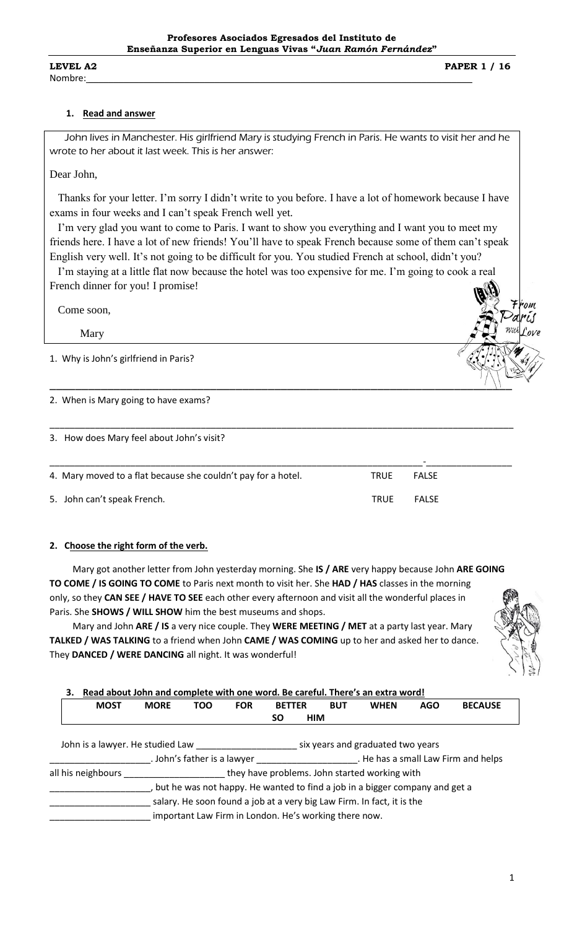## **1. Read and answer**

 John lives in Manchester. His girlfriend Mary is studying French in Paris. He wants to visit her and he wrote to her about it last week. This is her answer:

Dear John,

 Thanks for your letter. I'm sorry I didn't write to you before. I have a lot of homework because I have exams in four weeks and I can't speak French well yet.

 I'm very glad you want to come to Paris. I want to show you everything and I want you to meet my friends here. I have a lot of new friends! You'll have to speak French because some of them can't speak English very well. It's not going to be difficult for you. You studied French at school, didn't you?

 I'm staying at a little flat now because the hotel was too expensive for me. I'm going to cook a real French dinner for you! I promise!

Come soon,

Mary

1. Why is John's girlfriend in Paris?

2. When is Mary going to have exams?

3. How does Mary feel about John's visit?

|                                                               |             | $\overline{\phantom{0}}$ |
|---------------------------------------------------------------|-------------|--------------------------|
| 4. Mary moved to a flat because she couldn't pay for a hotel. | TRUE        | <b>FALSE</b>             |
| 5. John can't speak French.                                   | <b>TRUF</b> | <b>FALSF</b>             |

 $\_$   $\left\{\left.\right\}\right\}$ 

\_\_\_\_\_\_\_\_\_\_\_\_\_\_\_\_\_\_\_\_\_\_\_\_\_\_\_\_\_\_\_\_\_\_\_\_\_\_\_\_\_\_\_\_\_\_\_\_\_\_\_\_\_\_\_\_\_\_\_\_\_\_\_\_\_\_\_\_\_\_\_\_\_\_\_\_\_\_\_\_\_\_\_\_\_\_\_\_\_\_\_\_

## **2. Choose the right form of the verb.**

 Mary got another letter from John yesterday morning. She **IS / ARE** very happy because John **ARE GOING TO COME / IS GOING TO COME** to Paris next month to visit her. She **HAD / HAS** classes in the morning only, so they **CAN SEE / HAVE TO SEE** each other every afternoon and visit all the wonderful places in Paris. She **SHOWS / WILL SHOW** him the best museums and shops.

 Mary and John **ARE / IS** a very nice couple. They **WERE MEETING / MET** at a party last year. Mary **TALKED / WAS TALKING** to a friend when John **CAME / WAS COMING** up to her and asked her to dance. They **DANCED / WERE DANCING** all night. It was wonderful!



'om

## **3. Read about John and complete with one word. Be careful. There's an extra word!**

|                             |            |                                  |               |            | ncau about John and Complete with one word. De careful. There's an extra word: |                                                       |                                                                                                                                                                                                                                             |  |  |  |
|-----------------------------|------------|----------------------------------|---------------|------------|--------------------------------------------------------------------------------|-------------------------------------------------------|---------------------------------------------------------------------------------------------------------------------------------------------------------------------------------------------------------------------------------------------|--|--|--|
| <b>MORE</b>                 | <b>TOO</b> | <b>FOR</b>                       | <b>BETTER</b> | <b>BUT</b> | <b>WHEN</b>                                                                    | <b>AGO</b>                                            | <b>BECAUSE</b>                                                                                                                                                                                                                              |  |  |  |
|                             |            |                                  | SΟ            |            |                                                                                |                                                       |                                                                                                                                                                                                                                             |  |  |  |
|                             |            |                                  |               |            |                                                                                |                                                       |                                                                                                                                                                                                                                             |  |  |  |
|                             |            |                                  |               |            |                                                                                |                                                       |                                                                                                                                                                                                                                             |  |  |  |
| . John's father is a lawyer |            |                                  |               |            | . He has a small Law Firm and helps                                            |                                                       |                                                                                                                                                                                                                                             |  |  |  |
|                             |            |                                  |               |            |                                                                                |                                                       |                                                                                                                                                                                                                                             |  |  |  |
|                             |            |                                  |               |            |                                                                                |                                                       |                                                                                                                                                                                                                                             |  |  |  |
|                             |            |                                  |               |            |                                                                                |                                                       |                                                                                                                                                                                                                                             |  |  |  |
|                             |            |                                  |               |            |                                                                                |                                                       |                                                                                                                                                                                                                                             |  |  |  |
| all his neighbours          |            | John is a lawyer. He studied Law |               |            | <b>HIM</b>                                                                     | important Law Firm in London. He's working there now. | six years and graduated two years<br>they have problems. John started working with<br>but he was not happy. He wanted to find a job in a bigger company and get a<br>salary. He soon found a job at a very big Law Firm. In fact, it is the |  |  |  |